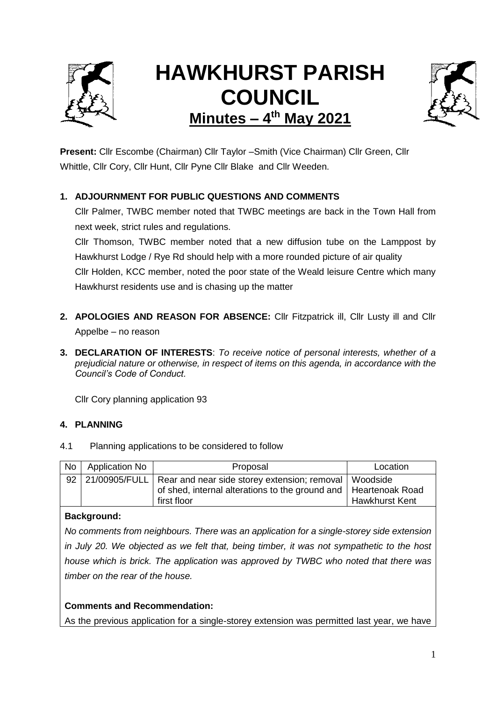

# **HAWKHURST PARISH COUNCIL Minutes – 4 th May 2021**



**Present:** Cllr Escombe (Chairman) Cllr Taylor –Smith (Vice Chairman) Cllr Green, Cllr Whittle, Cllr Cory, Cllr Hunt, Cllr Pyne Cllr Blake and Cllr Weeden.

# **1. ADJOURNMENT FOR PUBLIC QUESTIONS AND COMMENTS**

Cllr Palmer, TWBC member noted that TWBC meetings are back in the Town Hall from next week, strict rules and regulations.

Cllr Thomson, TWBC member noted that a new diffusion tube on the Lamppost by Hawkhurst Lodge / Rye Rd should help with a more rounded picture of air quality Cllr Holden, KCC member, noted the poor state of the Weald leisure Centre which many Hawkhurst residents use and is chasing up the matter

- **2. APOLOGIES AND REASON FOR ABSENCE:** Cllr Fitzpatrick ill, Cllr Lusty ill and Cllr Appelbe – no reason
- **3. DECLARATION OF INTERESTS**: *To receive notice of personal interests, whether of a prejudicial nature or otherwise, in respect of items on this agenda, in accordance with the Council's Code of Conduct.*

Cllr Cory planning application 93

## **4. PLANNING**

4.1 Planning applications to be considered to follow

| No | Application No | Proposal                                                                                                                                                    | Location              |  |
|----|----------------|-------------------------------------------------------------------------------------------------------------------------------------------------------------|-----------------------|--|
| 92 |                | 21/00905/FULL   Rear and near side storey extension; removal   Woodside<br>of shed, internal alterations to the ground and   Heartenoak Road<br>first floor | <b>Hawkhurst Kent</b> |  |

## **Background:**

*No comments from neighbours. There was an application for a single-storey side extension in July 20. We objected as we felt that, being timber, it was not sympathetic to the host house which is brick. The application was approved by TWBC who noted that there was timber on the rear of the house.* 

## **Comments and Recommendation:**

As the previous application for a single-storey extension was permitted last year, we have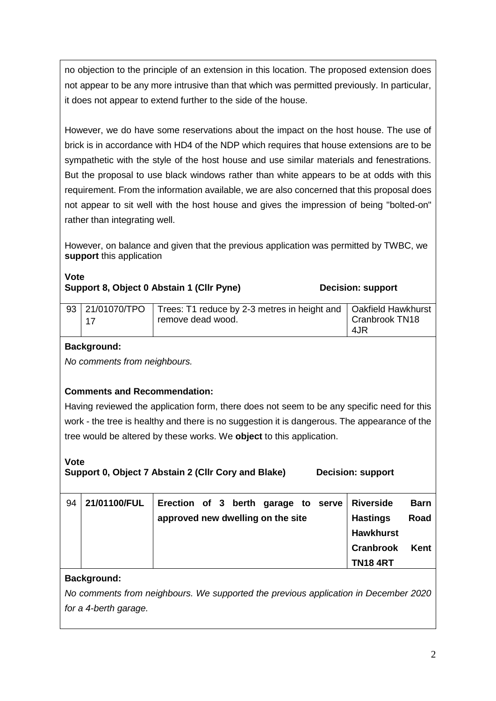no objection to the principle of an extension in this location. The proposed extension does not appear to be any more intrusive than that which was permitted previously. In particular, it does not appear to extend further to the side of the house.

However, we do have some reservations about the impact on the host house. The use of brick is in accordance with HD4 of the NDP which requires that house extensions are to be sympathetic with the style of the host house and use similar materials and fenestrations. But the proposal to use black windows rather than white appears to be at odds with this requirement. From the information available, we are also concerned that this proposal does not appear to sit well with the host house and gives the impression of being "bolted-on" rather than integrating well.

However, on balance and given that the previous application was permitted by TWBC, we **support** this application

# **Vote Support 8, Object 0 Abstain 1 (Cllr Pyne) Comment Control Control Control Decision: support**

| 93 21/01070/TPO | Trees: T1 reduce by 2-3 metres in height and   Oakfield Hawkhurst |                |  |
|-----------------|-------------------------------------------------------------------|----------------|--|
| 17              | remove dead wood.                                                 | Cranbrook TN18 |  |
|                 |                                                                   | 4JR            |  |

# **Background:**

*No comments from neighbours.*

## **Comments and Recommendation:**

Having reviewed the application form, there does not seem to be any specific need for this work - the tree is healthy and there is no suggestion it is dangerous. The appearance of the tree would be altered by these works. We **object** to this application.

## **Vote**

**Support 0, Object 7 Abstain 2 (Cllr Cory and Blake) Decision: support**

| 94 | 21/01100/FUL | Erection of 3 berth garage to serve Riverside |                  | <b>Barn</b> |
|----|--------------|-----------------------------------------------|------------------|-------------|
|    |              | approved new dwelling on the site             | <b>Hastings</b>  | Road        |
|    |              |                                               | <b>Hawkhurst</b> |             |
|    |              |                                               | <b>Cranbrook</b> | Kent        |
|    |              |                                               | <b>TN184RT</b>   |             |

# **Background:**

*No comments from neighbours. We supported the previous application in December 2020 for a 4-berth garage.*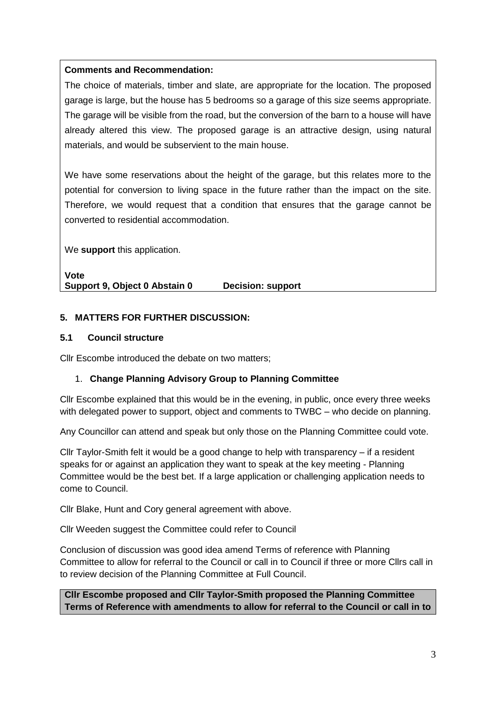## **Comments and Recommendation:**

The choice of materials, timber and slate, are appropriate for the location. The proposed garage is large, but the house has 5 bedrooms so a garage of this size seems appropriate. The garage will be visible from the road, but the conversion of the barn to a house will have already altered this view. The proposed garage is an attractive design, using natural materials, and would be subservient to the main house.

We have some reservations about the height of the garage, but this relates more to the potential for conversion to living space in the future rather than the impact on the site. Therefore, we would request that a condition that ensures that the garage cannot be converted to residential accommodation.

We **support** this application.

**Vote Support 9, Object 0 Abstain 0 Decision: support**

## **5. MATTERS FOR FURTHER DISCUSSION:**

#### **5.1 Council structure**

Cllr Escombe introduced the debate on two matters;

## 1. **Change Planning Advisory Group to Planning Committee**

Cllr Escombe explained that this would be in the evening, in public, once every three weeks with delegated power to support, object and comments to TWBC – who decide on planning.

Any Councillor can attend and speak but only those on the Planning Committee could vote.

Cllr Taylor-Smith felt it would be a good change to help with transparency – if a resident speaks for or against an application they want to speak at the key meeting - Planning Committee would be the best bet. If a large application or challenging application needs to come to Council.

Cllr Blake, Hunt and Cory general agreement with above.

Cllr Weeden suggest the Committee could refer to Council

Conclusion of discussion was good idea amend Terms of reference with Planning Committee to allow for referral to the Council or call in to Council if three or more Cllrs call in to review decision of the Planning Committee at Full Council.

**Cllr Escombe proposed and Cllr Taylor-Smith proposed the Planning Committee Terms of Reference with amendments to allow for referral to the Council or call in to**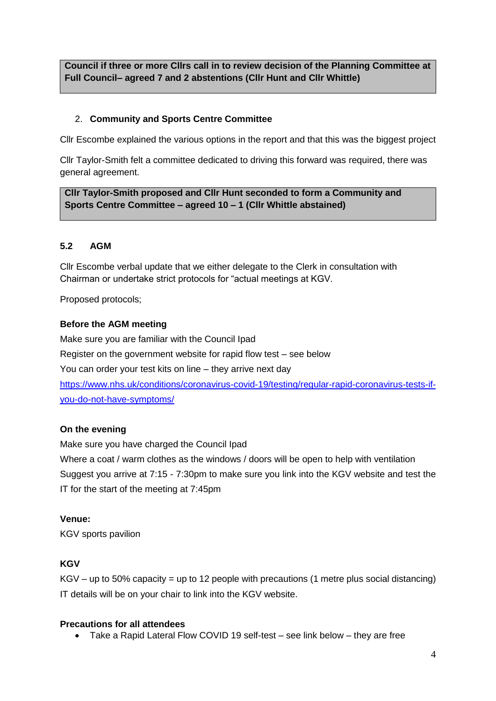**Council if three or more Cllrs call in to review decision of the Planning Committee at Full Council– agreed 7 and 2 abstentions (Cllr Hunt and Cllr Whittle)** 

## 2. **Community and Sports Centre Committee**

Cllr Escombe explained the various options in the report and that this was the biggest project

Cllr Taylor-Smith felt a committee dedicated to driving this forward was required, there was general agreement.

**Cllr Taylor-Smith proposed and Cllr Hunt seconded to form a Community and Sports Centre Committee – agreed 10 – 1 (Cllr Whittle abstained)**

## **5.2 AGM**

Cllr Escombe verbal update that we either delegate to the Clerk in consultation with Chairman or undertake strict protocols for "actual meetings at KGV.

Proposed protocols;

## **Before the AGM meeting**

Make sure you are familiar with the Council Ipad Register on the government website for rapid flow test – see below You can order your test kits on line – they arrive next day [https://www.nhs.uk/conditions/coronavirus-covid-19/testing/regular-rapid-coronavirus-tests-if](https://www.nhs.uk/conditions/coronavirus-covid-19/testing/regular-rapid-coronavirus-tests-if-you-do-not-have-symptoms/)[you-do-not-have-symptoms/](https://www.nhs.uk/conditions/coronavirus-covid-19/testing/regular-rapid-coronavirus-tests-if-you-do-not-have-symptoms/)

## **On the evening**

Make sure you have charged the Council Ipad Where a coat / warm clothes as the windows / doors will be open to help with ventilation Suggest you arrive at 7:15 - 7:30pm to make sure you link into the KGV website and test the IT for the start of the meeting at 7:45pm

## **Venue:**

KGV sports pavilion

## **KGV**

 $KGV - up to 50\%$  capacity = up to 12 people with precautions (1 metre plus social distancing) IT details will be on your chair to link into the KGV website.

## **Precautions for all attendees**

Take a Rapid Lateral Flow COVID 19 self-test – see link below – they are free